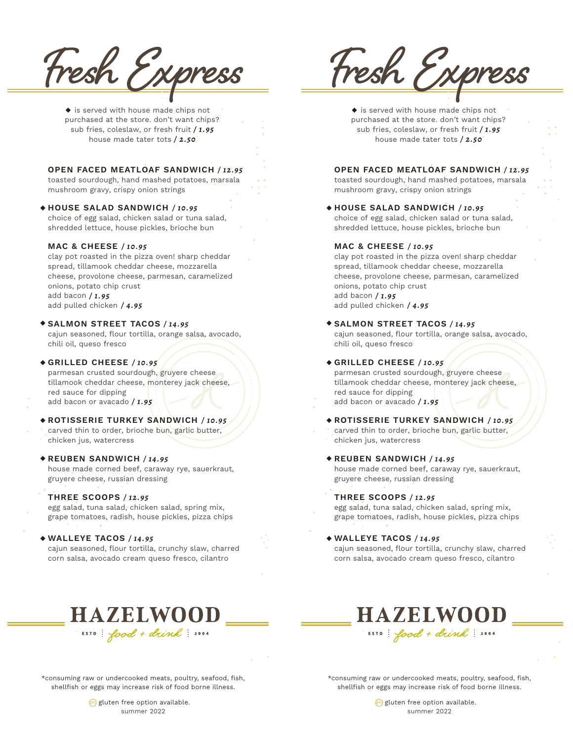**Fresh Express**

 $\blacklozenge$  is served with house made chips not purchased at the store. don't want chips? sub fries, coleslaw, or fresh fruit */ 1.95* house made tater tots */ 2.50*

# **OPEN FACED MEATLOAF SANDWICH** */ 12.95*

toasted sourdough, hand mashed potatoes, marsala mushroom gravy, crispy onion strings

# **HOUSE SALAD SANDWICH** */ 10.95* ◆

choice of egg salad, chicken salad or tuna salad, shredded lettuce, house pickles, brioche bun

# **MAC & CHEESE** */ 10.95*

clay pot roasted in the pizza oven! sharp cheddar spread, tillamook cheddar cheese, mozzarella cheese, provolone cheese, parmesan, caramelized onions, potato chip crust add bacon */ 1.95* add pulled chicken */ 4.95*

## **SALMON STREET TACOS** */ 14.95* ◆

cajun seasoned, flour tortilla, orange salsa, avocado, chili oil, queso fresco

## **GRILLED CHEESE** */ 10.95* ◆

parmesan crusted sourdough, gruyere cheese tillamook cheddar cheese, monterey jack cheese, red sauce for dipping add bacon or avacado */ 1.95*

# **ROTISSERIE TURKEY SANDWICH** */ 10.95* ◆

carved thin to order, brioche bun, garlic butter, chicken jus, watercress

## **REUBEN SANDWICH** */ 14.95* ◆

house made corned beef, caraway rye, sauerkraut, gruyere cheese, russian dressing

# **THREE SCOOPS** */ 12.95*

egg salad, tuna salad, chicken salad, spring mix, grape tomatoes, radish, house pickles, pizza chips

# **WALLEYE TACOS** */ 14.95* ◆

cajun seasoned, flour tortilla, crunchy slaw, charred corn salsa, avocado cream queso fresco, cilantro

**Fresh Express**

 $\blacklozenge$  is served with house made chips not purchased at the store. don't want chips? sub fries, coleslaw, or fresh fruit */ 1.95* house made tater tots */ 2.50*

# **OPEN FACED MEATLOAF SANDWICH** */ 12.95*

toasted sourdough, hand mashed potatoes, marsala mushroom gravy, crispy onion strings

## **HOUSE SALAD SANDWICH** */ 10.95* ◆

choice of egg salad, chicken salad or tuna salad, shredded lettuce, house pickles, brioche bun

# **MAC & CHEESE** */ 10.95*

clay pot roasted in the pizza oven! sharp cheddar spread, tillamook cheddar cheese, mozzarella cheese, provolone cheese, parmesan, caramelized onions, potato chip crust add bacon */ 1.95* add pulled chicken */ 4.95*

## **SALMON STREET TACOS** */ 14.95* ◆

cajun seasoned, flour tortilla, orange salsa, avocado, chili oil, queso fresco

## **GRILLED CHEESE** */ 10.95* ◆

parmesan crusted sourdough, gruyere cheese tillamook cheddar cheese, monterey jack cheese, red sauce for dipping add bacon or avacado */ 1.95*

**ROTISSERIE TURKEY SANDWICH** */ 10.95* ◆ carved thin to order, brioche bun, garlic butter, chicken jus, watercress

### **REUBEN SANDWICH** */ 14.95* ◆

house made corned beef, caraway rye, sauerkraut, gruyere cheese, russian dressing

# **THREE SCOOPS** */ 12.95*

egg salad, tuna salad, chicken salad, spring mix, grape tomatoes, radish, house pickles, pizza chips

### **WALLEYE TACOS** */ 14.95* ◆

cajun seasoned, flour tortilla, crunchy slaw, charred corn salsa, avocado cream queso fresco, cilantro

**HAZELWOOD** 

ESTD: food + drink: 2004



\*consuming raw or undercooked meats, poultry, seafood, fish, shellfish or eggs may increase risk of food borne illness.

> $g$ luten free option available. summer 2022

\*consuming raw or undercooked meats, poultry, seafood, fish, shellfish or eggs may increase risk of food borne illness.

> $g$ luten free option available. summer 2022